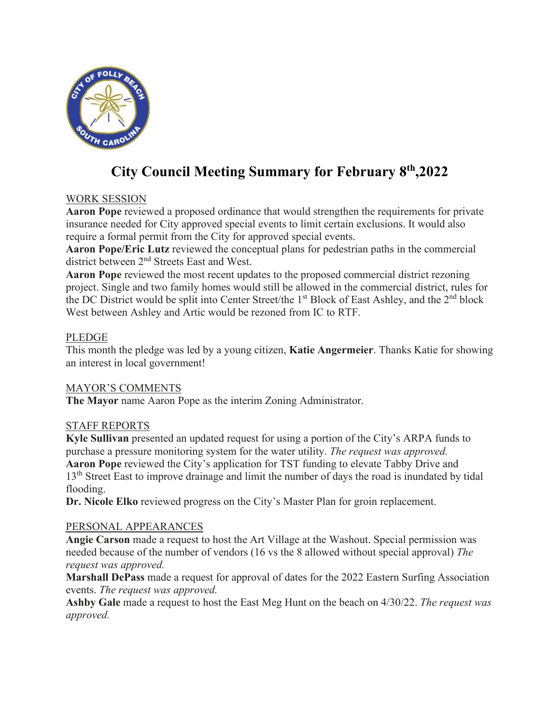

# **City Council Meeting Summary for February 8th ,2022**

# WORK SESSION

**Aaron Pope** reviewed a proposed ordinance that would strengthen the requirements for private insurance needed for City approved special events to limit certain exclusions. It would also require a formal permit from the City for approved special events.

**Aaron Pope/Eric Lutz** reviewed the conceptual plans for pedestrian paths in the commercial district between 2nd Streets East and West.

**Aaron Pope** reviewed the most recent updates to the proposed commercial district rezoning project. Single and two family homes would still be allowed in the commercial district, rules for the DC District would be split into Center Street/the 1<sup>st</sup> Block of East Ashley, and the 2<sup>nd</sup> block West between Ashley and Artic would be rezoned from IC to RTF.

### PLEDGE

This month the pledge was led by a young citizen, **Katie Angermeier**. Thanks Katie for showing an interest in local government!

### MAYOR'S COMMENTS

**The Mayor** name Aaron Pope as the interim Zoning Administrator.

### STAFF REPORTS

**Kyle Sullivan** presented an updated request for using a portion of the City's ARPA funds to purchase a pressure monitoring system for the water utility. *The request was approved.* **Aaron Pope** reviewed the City's application for TST funding to elevate Tabby Drive and 13<sup>th</sup> Street East to improve drainage and limit the number of days the road is inundated by tidal flooding.

**Dr. Nicole Elko** reviewed progress on the City's Master Plan for groin replacement.

#### PERSONAL APPEARANCES

**Angie Carson** made a request to host the Art Village at the Washout. Special permission was needed because of the number of vendors (16 vs the 8 allowed without special approval) *The request was approved.*

**Marshall DePass** made a request for approval of dates for the 2022 Eastern Surfing Association events. *The request was approved.*

**Ashby Gale** made a request to host the East Meg Hunt on the beach on 4/30/22. *The request was approved.*